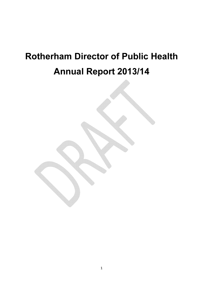# Rotherham Director of Public Health Annual Report 2013/14

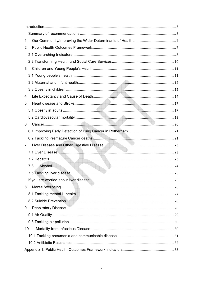| 1.                               |  |
|----------------------------------|--|
| 2.                               |  |
|                                  |  |
|                                  |  |
| 3.                               |  |
|                                  |  |
|                                  |  |
|                                  |  |
| 4.                               |  |
| 5.                               |  |
|                                  |  |
|                                  |  |
| 6.                               |  |
|                                  |  |
|                                  |  |
| $7_{\scriptscriptstyle{\ddots}}$ |  |
|                                  |  |
|                                  |  |
| 7.3                              |  |
|                                  |  |
|                                  |  |
| 8.                               |  |
|                                  |  |
|                                  |  |
| 9.                               |  |
|                                  |  |
|                                  |  |
| 10.                              |  |
|                                  |  |
|                                  |  |
|                                  |  |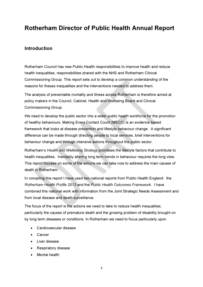# Rotherham Director of Public Health Annual Report

## Introduction

Rotherham Council has new Public Health responsibilities to improve health and reduce health inequalities, responsibilities shared with the NHS and Rotherham Clinical Commissioning Group. This report sets out to develop a common understanding of the reasons for theses inequalities and the interventions needed to address them.

The analysis of preventable mortality and illness across Rotherham is therefore aimed at policy makers in the Council, Cabinet, Health and Wellbeing Board and Clinical Commissioning Group.

We need to develop the public sector into a wider public health workforce for the promotion of healthy behaviours. Making Every Contact Count (MECC) is an evidence based framework that looks at disease prevention and lifestyle behaviour change. A significant difference can be made through directing people to local services, brief interventions for behaviour change and through intensive actions throughout the public sector.

Rotherham's Health and Wellbeing Strategy prioritises the lifestyle factors that contribute to health inequalities. Inevitably altering long term trends in behaviour requires the long view. This report focuses on some of the actions we can take now to address the main causes of death in Rotherham.

In compiling this report I have used two national reports from Public Health England: the Rotherham Health Profile 2013 and the Public Health Outcomes Framework. I have combined this national work with information from the Joint Strategic Needs Assessment and from local disease and death surveillance.

The focus of the report is the actions we need to take to reduce health inequalities, particularly the causes of premature death and the growing problem of disability brought on by long term diseases or conditions. In Rotherham we need to focus particularly upon

- Cardiovascular disease
- Cancer
- Liver disease
- Respiratory disease
- Mental health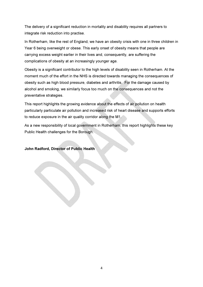The delivery of a significant reduction in mortality and disability requires all partners to integrate risk reduction into practise.

In Rotherham, like the rest of England, we have an obesity crisis with one in three children in Year 6 being overweight or obese. This early onset of obesity means that people are carrying excess weight earlier in their lives and, consequently, are suffering the complications of obesity at an increasingly younger age.

Obesity is a significant contributor to the high levels of disability seen in Rotherham. At the moment much of the effort in the NHS is directed towards managing the consequences of obesity such as high blood pressure, diabetes and arthritis. For the damage caused by alcohol and smoking, we similarly focus too much on the consequences and not the preventative strategies.

This report highlights the growing evidence about the effects of air pollution on health particularly particulate air pollution and increased risk of heart disease and supports efforts to reduce exposure in the air quality corridor along the M1.

As a new responsibility of local government in Rotherham, this report highlights these key Public Health challenges for the Borough.

John Radford, Director of Public Health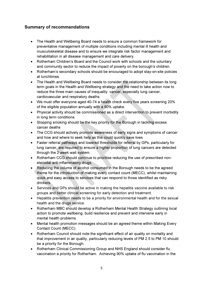## Summary of recommendations

- The Health and Wellbeing Board needs to ensure a common framework for preventative management of multiple conditions including mental ill health and musculoskeletal disease and to ensure we integrate risk factor management and rehabilitation in all disease management and care delivery.
- Rotherham Children's Board and the Council work with schools and the voluntary and community sector to reduce the impact of poverty on the borough's children.
- Rotherham's secondary schools should be encouraged to adopt stay-on-site policies at lunchtimes.
- The Health and Wellbeing Board needs to consider the relationship between its long term goals in the Health and Wellbeing strategy and the need to take action now to reduce the three main causes of inequality: cancer, especially lung cancer, cardiovascular and respiratory deaths.
- We must offer everyone aged 40-74 a health check every five years screening 20% of the eligible population annually with a 90% uptake.
- Physical activity should be commissioned as a direct intervention to prevent morbidity in long term conditions.
- Stopping smoking should be the key priority for the Borough in tackling excess cancer deaths
- The CCG should actively promote awareness of early signs and symptoms of cancer and how and where to seek help as this could quickly save lives
- Faster referral pathways and lowered thresholds for referral by GPs, particularly for lung cancer, are required to ensure a higher proportion of lung cancers are detected through the 2 week wait system.
- Rotherham CCG should continue to prioritise reducing the use of prescribed nonsteroidal anti-inflammatory drugs.
- Reducing the volume of alcohol consumed in the Borough needs to be the agreed theme for the introduction of making every contact count (MECC), whilst maintaining quick and easy access to services that can respond to those identified as risky drinkers.
- Services and GPs should be active in making the hepatitis vaccine available to risk groups and better clinical screening for early detection and treatment.
- Hepatitis prevention needs to be a priority for environmental health and for the sexual health and the drugs service.
- Rotherham MBC should develop a Rotherham Mental Health Strategy outlining local action to promote wellbeing, build resilience and prevent and intervene early in mental health problems.
- Mental health promotion messages should be an agreed theme within Making Every Contact Count (MECC).
- Rotherham Council should note the significant effect of air quality on mortality and that improvement in air quality, particularly reducing levels of PM 2.5 to PM 10 should be a priority for the Borough.
- Rotherham Clinical Commissioning Group and NHS England should consider flu vaccination a priority for Rotherham. Achieving 90% uptake of flu vaccination in the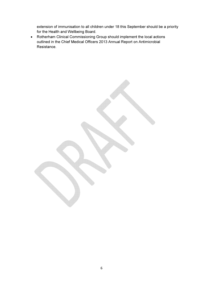extension of immunisation to all children under 18 this September should be a priority for the Health and Wellbeing Board.

• Rotherham Clinical Commissioning Group should implement the local actions outlined in the Chief Medical Officers 2013 Annual Report on Antimicrobial Resistance.

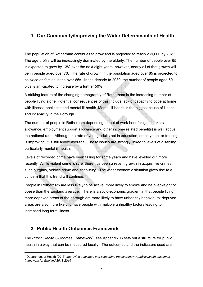## 1. Our Community/Improving the Wider Determinants of Health

The population of Rotherham continues to grow and is projected to reach 269,000 by 2021. The age profile will be increasingly dominated by the elderly. The number of people over 65 is expected to grow by 13% over the next eight years; however, nearly all of that growth will be in people aged over 70. The rate of growth in the population aged over 85 is projected to be twice as fast as in the over 65s. In the decade to 2030, the number of people aged 50 plus is anticipated to increase by a further 50%.

A striking feature of the changing demography of Rotherham is the increasing number of people living alone. Potential consequences of this include lack of capacity to cope at home with illness, loneliness and mental ill-health. Mental ill-health is the biggest cause of illness and incapacity in the Borough.

The number of people in Rotherham depending on out of work benefits (job seekers' allowance, employment support allowance and other income related benefits) is well above the national rate. Although the rate of young adults not in education, employment or training is improving, it is still above average. These issues are strongly linked to levels of disability particularly mental ill health.

Levels of recorded crime have been falling for some years and have levelled out more recently. While violent crime is rare, there has been a recent growth in acquisitive crimes such burglary, vehicle crime and shoplifting. The wider economic situation gives rise to a concern that this trend will continue.

People in Rotherham are less likely to be active, more likely to smoke and be overweight or obese than the England average. There is a socio-economic gradient in that people living in more deprived areas of the borough are more likely to have unhealthy behaviours; deprived areas are also more likely to have people with multiple unhealthy factors leading to increased long term illness.

## 2. Public Health Outcomes Framework

l

The Public Health Outcomes Framework<sup>1</sup> (see Appendix 1) sets out a structure for public health in a way that can be measured locally. The outcomes and the indicators used are

 $^{1}$  Department of Health (2013) *Improving outcomes and supporting transparency: A public health outcomes* framework for England 2013-2016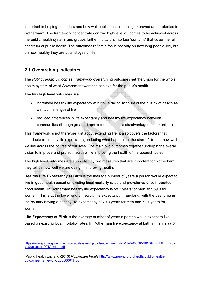important in helping us understand how well public health is being improved and protected in Rotherham<sup>2</sup>. The framework concentrates on two high-level outcomes to be achieved across the public health system, and groups further indicators into four 'domains' that cover the full spectrum of public health. The outcomes reflect a focus not only on how long people live, but on how healthy they are at all stages of life.

## 2.1 Overarching Indicators

The Public Health Outcomes Framework overarching outcomes set the vision for the whole health system of what Government wants to achieve for the public's health.

The two high level outcomes are:

l

- increased healthy life expectancy at birth, ie taking account of the quality of health as well as the length of life
- reduced differences in life expectancy and healthy life expectancy between communities (through greater improvements in more disadvantaged communities)

This framework is not therefore just about extending life: it also covers the factors that contribute to healthy life expectancy, including what happens at the start of life and how well we live across the course of our lives. The main two outcomes together underpin the overall vision to improve and protect health while improving the health of the poorest fastest.

The high level outcomes are supported by two measures that are important for Rotherham; they tell us how well we are doing in improving health.

Healthy Life Expectancy at Birth is the average number of years a person would expect to live in good health based on existing local mortality rates and prevalence of self-reported good health. In Rotherham healthy life expectancy is 58.2 years for men and 59.9 for women. This is at the lower end of healthy life expectancy in England, with the best area in the country having a healthy life expectancy of 70.3 years for men and 72.1 years for women.

Life Expectancy at Birth is the average number of years a person would expect to live based on existing local mortality rates. In Rotherham life expectancy at birth in men is 77.8

<sup>2</sup>Public Health England (2013) Rotherham Profile http://www.nepho.org.uk/pdfs/public-healthoutcomes-framework/E08000018.pdf

https://www.gov.uk/government/uploads/system/uploads/attachment\_data/file/263658/2901502\_PHOF\_Improvin g\_Outcomes\_PT1A\_v1\_1.pdf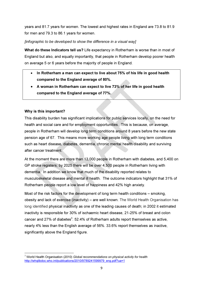years and 81.7 years for women. The lowest and highest rates in England are 73.8 to 81.9 for men and 79.3 to 86.1 years for women.

[infographic to be developed to show the difference in a visual way]

What do these Indicators tell us? Life expectancy in Rotherham is worse than in most of England but also, and equally importantly, that people in Rotherham develop poorer health on average 5 or 6 years before the majority of people in England.

- In Rotherham a man can expect to live about 75% of his life in good health compared to the England average of 80%.
- A woman in Rotherham can expect to live 73% of her life in good health compared to the England average of 77%.

#### Why is this important?

l

This disability burden has significant implications for public services locally, on the need for health and social care and for employment opportunities. This is because, on average, people in Rotherham will develop long term conditions around 8 years before the new state pension age of 67. This means more working age people living with long term conditions such as heart disease, diabetes, dementia, chronic mental health disability and surviving after cancer treatment.

At the moment there are more than 13,000 people in Rotherham with diabetes, and 5,400 on GP stroke registers; by 2025 there will be over 4,500 people in Rotherham living with dementia. In addition we know that much of the disability reported relates to musculoskeletal disease and mental ill health. The outcome indicators highlight that 31% of Rotherham people report a low level of happiness and 42% high anxiety.

Most of the risk factors for the development of long term health conditions – smoking, obesity and lack of exercise (inactivity) – are well known. The World Health Organisation has long identified physical inactivity as one of the leading causes of death; in 2002 it estimated inactivity is responsible for 30% of ischaemic heart disease, 21-25% of breast and colon cancer and 27% of diabetes $^3$ . 52.4% of Rotherham adults report themselves as active, nearly 4% less than the English average of 56%. 33.6% report themselves as inactive, significantly above the England figure.

 $3$  World Health Organisation (2010) Global recommendations on physical activity for health http://whqlibdoc.who.int/publications/2010/9789241599979\_eng.pdf?ua=1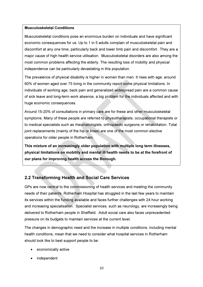#### Musculoskeletal Conditions

Musculoskeletal conditions pose an enormous burden on individuals and have significant economic consequences for us. Up to 1 in 5 adults complain of musculoskeletal pain and discomfort at any one time, particularly back and lower limb pain and discomfort. They are a major cause of high health service utilisation. Musculoskeletal disorders are also among the most common problems affecting the elderly. The resulting loss of mobility and physical independence can be particularly devastating in this population.

The prevalence of physical disability is higher in women than men. It rises with age: around 60% of women aged over 75 living in the community report some physical limitations. In individuals of working age, back pain and generalized widespread pain are a common cause of sick leave and long-term work absence, a big problem for the individuals affected and with huge economic consequences.

Around 15-20% of consultations in primary care are for these and other musculoskeletal symptoms. Many of these people are referred to physiotherapists, occupational therapists or to medical specialists such as rheumatologists, orthopaedic surgeons or rehabilitation. Total joint replacements (mainly of the hip or knee) are one of the most common elective operations for older people in Rotherham.

This mixture of an increasingly older population with multiple long term illnesses, physical limitations on mobility and mental ill health needs to be at the forefront of our plans for improving health across the Borough.

## 2.2 Transforming Health and Social Care Services

GPs are now central to the commissioning of health services and meeting the community needs of their patients. Rotherham Hospital has struggled in the last few years to maintain its services within the funding available and faces further challenges with 24 hour working and increasing specialisation. Specialist services, such as neurology, are increasingly being delivered to Rotherham people in Sheffield. Adult social care also faces unprecedented pressure on its budgets to maintain services at the current level.

The changes in demographic need and the increase in multiple conditions, including mental health conditions, mean that we need to consider what hospital services in Rotherham should look like to best support people to be:

- economically active
- independent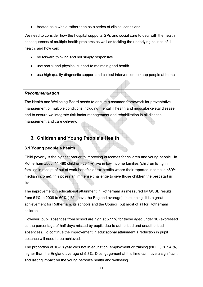• treated as a whole rather than as a series of clinical conditions

We need to consider how the hospital supports GPs and social care to deal with the health consequences of multiple health problems as well as tackling the underlying causes of ill health, and how can:

- be forward thinking and not simply responsive
- use social and physical support to maintain good health
- use high quality diagnostic support and clinical intervention to keep people at home

#### Recommendation

The Health and Wellbeing Board needs to ensure a common framework for preventative management of multiple conditions including mental ill health and musculoskeletal disease and to ensure we integrate risk factor management and rehabilitation in all disease management and care delivery.

## 3. Children and Young People's Health

#### 3.1 Young people's health

Child poverty is the biggest barrier to improving outcomes for children and young people. In Rotherham about 11,480 children (23.1%) live in low income families (children living in families in receipt of out of work benefits or tax credits where their reported income is <60% median income), this poses an immense challenge to give those children the best start in life.

The improvement in educational attainment in Rotherham as measured by GCSE results, from 54% in 2008 to 60% (1% above the England average), is stunning. It is a great achievement for Rotherham, its schools and the Council, but most of all for Rotherham children.

However, pupil absences from school are high at 5.11% for those aged under 16 (expressed as the percentage of half days missed by pupils due to authorised and unauthorised absences). To continue the improvement in educational attainment a reduction in pupil absence will need to be achieved.

The proportion of 16-18 year olds not in education, employment or training (NEET) is 7.4 %, higher than the England average of 5.8%. Disengagement at this time can have a significant and lasting impact on the young person's health and wellbeing.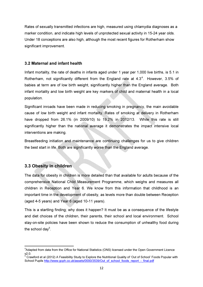Rates of sexually transmitted infections are high, measured using chlamydia diagnoses as a marker condition, and indicate high levels of unprotected sexual activity in 15-24 year olds. Under 18 conceptions are also high, although the most recent figures for Rotherham show significant improvement.

#### 3.2 Maternal and infant health

Infant mortality, the rate of deaths in infants aged under 1 year per 1,000 live births, is 5.1 in Rotherham, not significantly different from the England rate at  $4.3^4$ . However, 3.5% of babies at term are of low birth weight, significantly higher than the England average. Both infant mortality and low birth weight are key markers of child and maternal health in a local population.

Significant inroads have been made in reducing smoking in pregnancy, the main avoidable cause of low birth weight and infant mortality. Rates of smoking at delivery in Rotherham have dropped from 26.1% (in 2009/10) to 19.2% in 2012/13. While this rate is still significantly higher than the national average it demonstrates the impact intensive local interventions are making.

Breastfeeding initiation and maintenance are continuing challenges for us to give children the best start in life. Both are significantly worse than the England average.

## 3.3 Obesity in children

 $\overline{a}$ 

The data for obesity in children is more detailed than that available for adults because of the comprehensive National Child Measurement Programme, which weighs and measures all children in Reception and Year 6. We know from this information that childhood is an important time in the development of obesity, as levels more than double between Reception (aged 4-5 years) and Year 6 (aged 10-11 years).

This is a startling finding; why does it happen? It must be as a consequence of the lifestyle and diet choices of the children, their parents, their school and local environment. School stay-on-site policies have been shown to reduce the consumption of unhealthy food during the school day $^{5}$ .

<sup>&</sup>lt;sup>4</sup>Adapted from data from the Office for National Statistics (ONS) licensed under the Open Government Licence

v2.0.<br><sup>5</sup> Crawford et al (2012) A Feasibility Study to Explore the Nutritional Quality of 'Out of School' Foods Popular with School Pupils http://www.gcph.co.uk/assets/0000/3539/Out\_of\_school\_foods\_report\_-\_final.pdf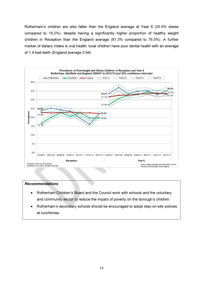Rotherham's children are also fatter than the England average at Year 6 (20.5% obese compared to 19.2%), despite having a significantly higher proportion of healthy weight children in Reception than the England average (81.3% compared to 76.5%). A further marker of dietary intake is oral health; local children have poor dental health with an average of 1.4 bad teeth (England average 0.94).



#### Recommendations

- Rotherham Children's Board and the Council work with schools and the voluntary and community sector to reduce the impact of poverty on the borough's children.
- Rotherham's secondary schools should be encouraged to adopt stay-on-site policies at lunchtimes.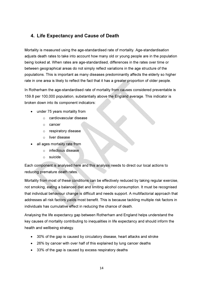## 4. Life Expectancy and Cause of Death

Mortality is measured using the age-standardised rate of mortality. Age-standardisation adjusts death rates to take into account how many old or young people are in the population being looked at. When rates are age-standardised, differences in the rates over time or between geographical areas do not simply reflect variations in the age structure of the populations. This is important as many diseases predominantly affects the elderly so higher rate in one area is likely to reflect the fact that it has a greater proportion of older people.

In Rotherham the age-standardised rate of mortality from causes considered preventable is 159.8 per 100,000 population, substantially above the England average. This indicator is broken down into its component indicators:

- under 75 years mortality from
	- o cardiovascular disease
	- o cancer
	- o respiratory disease
	- o liver disease
- all ages mortality rate from
	- o infectious disease
	- o suicide

Each component is analysed here and this analysis needs to direct our local actions to reducing premature death rates.

Mortality from most of these conditions can be effectively reduced by taking regular exercise, not smoking, eating a balanced diet and limiting alcohol consumption. It must be recognised that individual behaviour change is difficult and needs support. A multifactorial approach that addresses all risk factors yields most benefit. This is because tackling multiple risk factors in individuals has cumulative effect in reducing the chance of death.

Analysing the life expectancy gap between Rotherham and England helps understand the key causes of mortality contributing to inequalities in life expectancy and should inform the health and wellbeing strategy.

- 30% of the gap is caused by circulatory disease, heart attacks and stroke
- 26% by cancer with over half of this explained by lung cancer deaths
- 33% of the gap is caused by excess respiratory deaths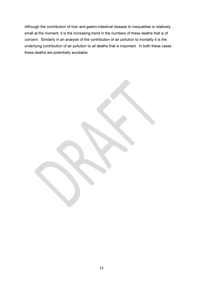Although the contribution of liver and gastro-intestinal disease to inequalities is relatively small at the moment, it is the increasing trend in the numbers of these deaths that is of concern. Similarly in an analysis of the contribution of air pollution to mortality it is the underlying contribution of air pollution to all deaths that is important. In both these cases these deaths are potentially avoidable.

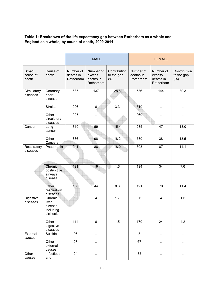#### Table 1: Breakdown of the life expectancy gap between Rotherham as a whole and England as a whole, by cause of death, 2009-2011

|                                   |                                                       | <b>MALE</b>                         |                                               |                                       | <b>FEMALE</b>                       |                                               |                                    |
|-----------------------------------|-------------------------------------------------------|-------------------------------------|-----------------------------------------------|---------------------------------------|-------------------------------------|-----------------------------------------------|------------------------------------|
| <b>Broad</b><br>cause of<br>death | Cause of<br>death                                     | Number of<br>deaths in<br>Rotherham | Number of<br>excess<br>deaths in<br>Rotherham | Contribution<br>to the gap<br>$(\% )$ | Number of<br>deaths in<br>Rotherham | Number of<br>excess<br>deaths in<br>Rotherham | Contribution<br>to the gap<br>(% ) |
| Circulatory<br>diseases           | Coronary<br>heart<br>disease                          | 685                                 | 137                                           | 28.8                                  | 536                                 | 144                                           | 30.3                               |
|                                   | <b>Stroke</b>                                         | 206                                 | 6                                             | $\overline{3.3}$                      | 310                                 | $\ddotsc$                                     | $\ddot{\phantom{0}}$               |
|                                   | Other<br>circulatory<br>diseases                      | 225                                 | $\ddot{\phantom{0}}$                          |                                       | 260                                 | $\ddot{\phantom{0}}$                          |                                    |
| Cancer                            | Lung<br>cancer                                        | 310                                 | 69                                            | 15.4                                  | 235                                 | 47                                            | 13.0                               |
|                                   | Other<br>Cancers                                      | 886                                 | 96                                            | 18.2                                  | 780                                 | 38                                            | 13.5                               |
| Respiratory<br>diseases           | Pneumonia                                             | 241                                 | 88                                            | 18.0                                  | 303                                 | 87                                            | 14.1                               |
|                                   | Chronic<br>obstructive<br>airways<br>disease          | 191                                 | 19                                            | 1.6                                   | 194                                 | $\overline{34}$                               | 7.6                                |
|                                   | Other<br>respiratory<br>diseases                      | 156                                 | 44                                            | 8.6                                   | 191                                 | 70                                            | 11.4                               |
| <b>Digestive</b><br>diseases      | Chronic<br>liver<br>disease<br>including<br>cirrhosis | 62<br>w                             | $\overline{\mathbf{4}}$                       | 1.7                                   | $\overline{36}$                     | $\overline{\mathbf{4}}$                       | 1.5                                |
|                                   | Other<br>digestive<br>diseases                        | $\frac{114}{114}$                   | $\overline{6}$                                | 1.5                                   | 170                                 | $\overline{24}$                               | 4.2                                |
| External<br>causes                | Suicide                                               | 26                                  | $\sim$                                        | $\ldots$                              | 8                                   | $\ldots$                                      | $\cdot$ .                          |
|                                   | Other<br>external<br>causes                           | 97                                  | $\ddotsc$                                     | $\ddotsc$                             | 67                                  | $\ddotsc$                                     | $\ddotsc$                          |
| Other<br>causes                   | Infectious<br>and                                     | $\overline{24}$                     | $\sim$                                        | $\ddotsc$                             | 35                                  | $\cdot$ .                                     | $\sim$                             |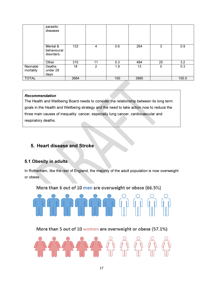|                       | parasitic<br>diseases                |      |    |     |      |             |       |
|-----------------------|--------------------------------------|------|----|-----|------|-------------|-------|
|                       | Mental &<br>behavioural<br>disorders | 133  | 4  | 0.6 | 264  | 3           | 0.9   |
|                       | Other                                | 310  | 11 | 0.3 | 484  | 25          | 3.2   |
| Neonatal<br>mortality | Deaths<br>under 28<br>days           | 18   | 2  | 1.9 | 13   | $\mathbf 0$ | 0.3   |
| <b>TOTAL</b>          |                                      | 3684 |    | 100 | 3885 |             | 100.0 |

#### Recommendation

The Health and Wellbeing Board needs to consider the relationship between its long term goals in the Health and Wellbeing strategy and the need to take action now to reduce the three main causes of inequality: cancer, especially lung cancer, cardiovascular and respiratory deaths.

## 5. Heart disease and Stroke

## 5.1 Obesity in adults

In Rotherham, like the rest of England, the majority of the adult population is now overweight or obese.

More than 6 out of 10 men are overweight or obese (66.5%)



More than 5 out of 10 women are overweight or obese (57.1%)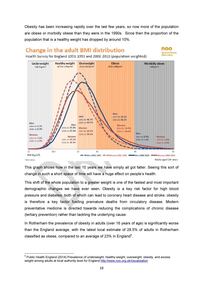Obesity has been increasing rapidly over the last few years, so now more of the population are obese or morbidly obese than they were in the 1990s. Since then the proportion of the population that is a healthy weight has dropped by around 10%.

# Change in the adult BMI distribution



Health Survey for England 1991-1993 and 2008-2010 (population weighted)



This graph shows how in the last 10 years we have simply all got fatter. Seeing this sort of change in such a short space of time will have a huge effect on people's health.

This shift of the whole population to a greater weight is one of the fastest and most important demographic changes we have ever seen. Obesity is a key risk factor for high blood pressure and diabetes, both of which can lead to coronary heart disease and stroke; obesity is therefore a key factor fuelling premature deaths from circulatory disease. Modern preventative medicine is directed towards reducing the complications of chronic disease (tertiary prevention) rather than tackling the underlying cause.

In Rotherham the prevalence of obesity in adults (over 16 years of age) is significantly worse than the England average, with the latest local estimate of 28.5% of adults in Rotherham classified as obese, compared to an average of 23% in England<sup>6</sup>.

l

 $^6$  Public Health England (2014) Prevalence of underweight, healthy weight, overweight, obesity, and excess weight among adults at local authority level for England http://www.noo.org.uk/visualisation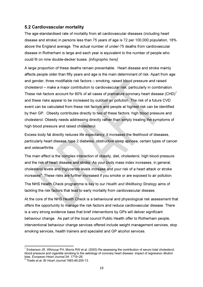#### 5.2 Cardiovascular mortality

The age-standardised rate of mortality from all cardiovascular diseases (including heart disease and stroke) in persons less than 75 years of age is 72 per 100,000 population, 18% above the England average. The actual number of under-75 deaths from cardiovascular disease in Rotherham is large and each year is equivalent to the number of people who could fit on nine double-decker buses. [infographic here]

A large proportion of these deaths remain preventable. Heart disease and stroke mainly affects people older than fifty years and age is the main determinant of risk. Apart from age and gender, three modifiable risk factors – smoking, raised blood pressure and raised cholesterol – make a major contribution to cardiovascular risk, particularly in combination. These risk factors account for 80% of all cases of premature coronary heart disease (CHD)<sup>7</sup> and these risks appear to be increased by outdoor air pollution. The risk of a future CVD event can be calculated from these risk factors and people at highest risk can be identified by their GP. Obesity contributes directly to two of these factors: high blood pressure and cholesterol. Obesity needs addressing directly rather than simply treating the symptoms of high blood pressure and raised cholesterol.

Excess body fat directly reduces life expectancy; it increases the likelihood of diseases, particularly heart disease, type 2 diabetes, obstructive sleep apnoea, certain types of cancer and osteoarthritis.

The main effect is the complex interaction of obesity, diet, cholesterol, high blood pressure and the risk of heart disease and stroke. As your body mass index increases, in general, cholesterol levels and triglyceride levels increase and your risk of a heart attack or stroke increases<sup>8</sup>. These risks are further increased if you smoke or are exposed to air pollution.

The NHS Health Check programme is key to our Health and Wellbeing Strategy aims of tackling the risk factors that lead to early mortality from cardiovascular disease.

At the core of the NHS Health Check is a behavioural and physiological risk assessment that offers the opportunity to manage the risk factors and reduce cardiovascular disease. There is a very strong evidence base that brief interventions by GPs will deliver significant behaviour change. As part of the local council Public Health offer to Rotherham people, interventional behaviour change services offered include weight management services, stop smoking services, health trainers and specialist and GP alcohol services.

 $\overline{a}$ 

 $^7$  Emberson JR, Whincup PH, Morris RW et al. (2003) Re-assessing the contribution of serum total cholesterol, blood pressure and cigarette smoking to the aetiology of coronary heart disease: impact of regression dilution

bias. *European Heart Journal* 24: 1719–26.<br><sup>8</sup> Thelle et al. *Br Heart Journal* 1983;49:205-13.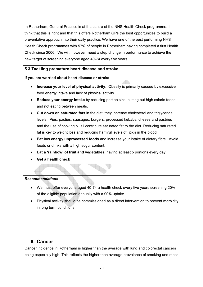In Rotherham, General Practice is at the centre of the NHS Health Check programme. I think that this is right and that this offers Rotherham GPs the best opportunities to build a preventative approach into their daily practice. We have one of the best performing NHS Health Check programmes with 57% of people in Rotherham having completed a first Health Check since 2006. We will, however, need a step change in performance to achieve the new target of screening everyone aged 40-74 every five years.

#### 5.3 Tackling premature heart disease and stroke

#### If you are worried about heart disease or stroke

- Increase your level of physical activity. Obesity is primarily caused by excessive food energy intake and lack of physical activity.
- Reduce your energy intake by reducing portion size, cutting out high calorie foods and not eating between meals.
- Cut down on saturated fats in the diet, they increase cholesterol and triglyceride levels. Pies, pasties, sausages, burgers, processed kebabs, cheese and pastries and the use of cooking oil all contribute saturated fat to the diet. Reducing saturated fat is key to weight loss and reducing harmful levels of lipids in the blood.
- Eat low energy unprocessed foods and increase your intake of dietary fibre. Avoid foods or drinks with a high sugar content.
- Eat a 'rainbow' of fruit and vegetables, having at least 5 portions every day
- Get a health check

#### Recommendations

- We must offer everyone aged 40-74 a health check every five years screening 20% of the eligible population annually with a 90% uptake.
- Physical activity should be commissioned as a direct intervention to prevent morbidity in long term conditions.

#### 6. Cancer

Cancer incidence in Rotherham is higher than the average with lung and colorectal cancers being especially high. This reflects the higher than average prevalence of smoking and other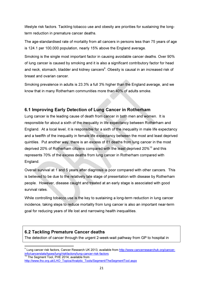lifestyle risk factors. Tackling tobacco use and obesity are priorities for sustaining the longterm reduction in premature cancer deaths.

The age-standardised rate of mortality from all cancers in persons less than 75 years of age is 124.1 per 100,000 population, nearly 15% above the England average.

Smoking is the single most important factor in causing avoidable cancer deaths. Over 90% of lung cancer is caused by smoking and it is also a significant contributory factor for head and neck, stomach, bladder and kidney cancers<sup>9</sup>. Obesity is causal in an increased risk of breast and ovarian cancer.

Smoking prevalence in adults is 23.3% a full 3% higher than the England average, and we know that in many Rotherham communities more than 40% of adults smoke.

## 6.1 Improving Early Detection of Lung Cancer in Rotherham

Lung cancer is the leading cause of death from cancer in both men and women. It is responsible for about a sixth of the inequality in life expectancy between Rotherham and England. At a local level, it is responsible for a sixth of the inequality in male life expectancy and a twelfth of the inequality in female life expectancy between the most and least deprived quintiles. Put another way, there is an excess of 81 deaths from lung cancer in the most deprived 20% of Rotherham citizens compared with the least deprived 20%<sup>10</sup> and this represents 70% of the excess deaths from lung cancer in Rotherham compared with England.

Overall survival at 1 and 5 years after diagnosis is poor compared with other cancers. This is believed to be due to the relatively late stage of presentation with disease by Rotherham people. However, disease caught and treated at an early stage is associated with good survival rates.

While controlling tobacco use is the key to sustaining a long-term reduction in lung cancer incidence, taking steps to reduce mortality from lung cancer is also an important near-term goal for reducing years of life lost and narrowing health inequalities.

## 6.2 Tackling Premature Cancer deaths

 $\overline{a}$ 

The detection of cancer through the urgent 2-week-wait pathway from GP to hospital in

<sup>&</sup>lt;sup>9</sup> Lung cancer risk factors, Cancer Research UK 2013, available from <u>http://www.cancerresearchuk.org/cancer-</u> info/cancerstats/types/lung/riskfactors/lung-cancer-risk-factors The Segment Tool, PHE 2014, available from

http://www.lho.org.uk/LHO\_Topics/Analytic\_Tools/Segment/TheSegmentTool.aspx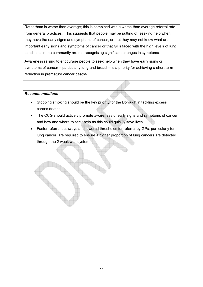Rotherham is worse than average; this is combined with a worse than average referral rate from general practices. This suggests that people may be putting off seeking help when they have the early signs and symptoms of cancer, or that they may not know what are important early signs and symptoms of cancer or that GPs faced with the high levels of lung conditions in the community are not recognising significant changes in symptoms.

Awareness raising to encourage people to seek help when they have early signs or symptoms of cancer – particularly lung and breast – is a priority for achieving a short term reduction in premature cancer deaths.

#### Recommendations

- Stopping smoking should be the key priority for the Borough in tackling excess cancer deaths
- The CCG should actively promote awareness of early signs and symptoms of cancer and how and where to seek help as this could quickly save lives
- Faster referral pathways and lowered thresholds for referral by GPs, particularly for lung cancer, are required to ensure a higher proportion of lung cancers are detected through the 2 week wait system.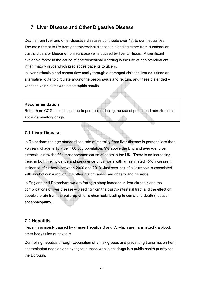## 7. Liver Disease and Other Digestive Disease

Deaths from liver and other digestive diseases contribute over 4% to our inequalities. The main threat to life from gastrointestinal disease is bleeding either from duodenal or gastric ulcers or bleeding from varicose veins caused by liver cirrhosis. A significant avoidable factor in the cause of gastrointestinal bleeding is the use of non-steroidal antiinflammatory drugs which predispose patients to ulcers.

In liver cirrhosis blood cannot flow easily through a damaged cirrhotic liver so it finds an alternative route to circulate around the oesophagus and rectum, and these distended – varicose veins burst with catastrophic results.

#### Recommendation

Rotherham CCG should continue to prioritise reducing the use of prescribed non-steroidal anti-inflammatory drugs.

## 7.1 Liver Disease

In Rotherham the age-standardised rate of mortality from liver disease in persons less than 75 years of age is 15.7 per 100,000 population, 9% above the England average. Liver cirrhosis is now the fifth most common cause of death in the UK. There is an increasing trend in both the incidence and prevalence of cirrhosis with an estimated 45% increase in incidence of cirrhosis between 2000 and 2010. Just over half of all cirrhosis is associated with alcohol consumption; the other major causes are obesity and hepatitis.

In England and Rotherham we are facing a steep increase in liver cirrhosis and the complications of liver disease – bleeding from the gastro-intestinal tract and the effect on people's brain from the build-up of toxic chemicals leading to coma and death (hepatic encephalopathy).

## 7.2 Hepatitis

Hepatitis is mainly caused by viruses Hepatitis B and C, which are transmitted via blood, other body fluids or sexually.

Controlling hepatitis through vaccination of at risk groups and preventing transmission from contaminated needles and syringes in those who inject drugs is a public health priority for the Borough.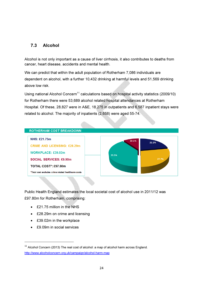## 7.3 Alcohol

Alcohol is not only important as a cause of liver cirrhosis, it also contributes to deaths from cancer, heart disease, accidents and mental health.

We can predict that within the adult population of Rotherham 7,086 individuals are dependent on alcohol, with a further 10,432 drinking at harmful levels and 51,569 drinking above low risk.

Using national Alcohol Concern<sup>11</sup> calculations based on hospital activity statistics (2009/10) for Rotherham there were 53,689 alcohol related hospital attendances at Rotherham Hospital. Of these, 28,827 were in A&E, 18,275 in outpatients and 6,587 inpatient stays were related to alcohol. The majority of inpatients (2,658) were aged 55-74.

#### **ROTHERHAM COST BREAKDOWN**

**NHS: £21.75m** 

**CRIME AND LICENSING: £28.29m WORKPLACE: £39.02m SOCIAL SERVICES: £9.90m** TOTAL COST<sup>+</sup>: £97.80m \*Total cost excludes crime related healthcare costs



Public Health England estimates the local societal cost of alcohol use in 2011/12 was £97.80m for Rotherham, comprising:

- £21.75 million in the NHS
- £28.29m on crime and licensing
- £39.02m in the workplace
- £9.09m in social services

 $\overline{a}$ 

 $11$  Alcohol Concern (2013) The real cost of alcohol: a map of alcohol harm across England. http://www.alcoholconcern.org.uk/campaign/alcohol-harm-map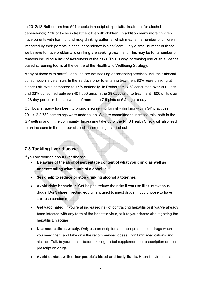In 2012/13 Rotherham had 591 people in receipt of specialist treatment for alcohol dependency; 77% of those in treatment live with children. In addition many more children have parents with harmful and risky drinking patterns, which means the number of children impacted by their parents' alcohol dependency is significant. Only a small number of those we believe to have problematic drinking are seeking treatment. This may be for a number of reasons including a lack of awareness of the risks. This is why increasing use of an evidence based screening tool is at the centre of the Health and Wellbeing Strategy.

Many of those with harmful drinking are not seeking or accepting services until their alcohol consumption is very high. In the 28 days prior to entering treatment 80% were drinking at higher risk levels compared to 75% nationally. In Rotherham 37% consumed over 600 units and 23% consumed between 401-600 units in the 28 days prior to treatment. 600 units over a 28 day period is the equivalent of more than 7.5 pints of 5% lager a day.

Our local strategy has been to promote screening for risky drinking within GP practices. In 2011/12 2,780 screenings were undertaken. We are committed to increase this, both in the GP setting and in the community. Increasing take up of the NHS Health Check will also lead to an increase in the number of alcohol screenings carried out.

## 7.5 Tackling liver disease

If you are worried about liver disease

- Be aware of the alcohol percentage content of what you drink, as well as understanding what a unit of alcohol is.
- Seek help to reduce or stop drinking alcohol altogether.
- Avoid risky behaviour. Get help to reduce the risks if you use illicit intravenous drugs. Don't share injecting equipment used to inject drugs. If you choose to have sex, use condoms.
- Get vaccinated. If you're at increased risk of contracting hepatitis or if you've already been infected with any form of the hepatitis virus, talk to your doctor about getting the hepatitis B vaccine
- Use medications wisely. Only use prescription and non-prescription drugs when you need them and take only the recommended doses. Don't mix medications and alcohol. Talk to your doctor before mixing herbal supplements or prescription or nonprescription drugs.
- Avoid contact with other people's blood and body fluids. Hepatitis viruses can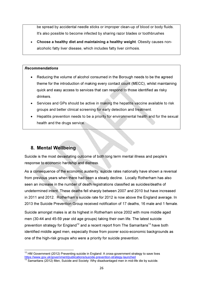be spread by accidental needle sticks or improper clean-up of blood or body fluids. It's also possible to become infected by sharing razor blades or toothbrushes

• Choose a healthy diet and maintaining a healthy weight. Obesity causes nonalcoholic fatty liver disease, which includes fatty liver cirrhosis.

#### Recommendations

- Reducing the volume of alcohol consumed in the Borough needs to be the agreed theme for the introduction of making every contact count (MECC), whilst maintaining quick and easy access to services that can respond to those identified as risky drinkers.
- Services and GPs should be active in making the hepatitis vaccine available to risk groups and better clinical screening for early detection and treatment.
- Hepatitis prevention needs to be a priority for environmental health and for the sexual health and the drugs service.

# 8. Mental Wellbeing

l

Suicide is the most devastating outcome of both long term mental illness and people's response to economic hardship and distress.

As a consequence of the economic austerity, suicide rates nationally have shown a reversal from previous years when there had been a steady decline. Locally Rotherham has also seen an increase in the number of death registrations classified as suicides/deaths of undetermined intent. These deaths fell sharply between 2007 and 2010 but have increased in 2011 and 2012. Rotherham's suicide rate for 2012 is now above the England average. In 2013 the Suicide Prevention Group received notification of 17 deaths, 16 male and 1 female.

Suicide amongst males is at its highest in Rotherham since 2002 with more middle aged men (30-44 and 45-59 year old age groups) taking their own life. The latest suicide prevention strategy for England<sup>12</sup> and a recent report from The Samaritans<sup>13</sup> have both identified middle aged men, especially those from poorer socio-economic backgrounds as one of the high-risk groups who were a priority for suicide prevention.

 $12$  HM Government (2012) Preventing suicide in England: A cross-government strategy to save lives https://www.gov.uk/government/publications/suicide-prevention-strategy-launched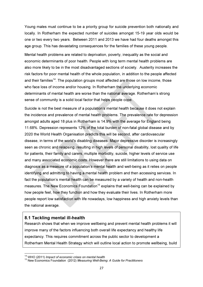Young males must continue to be a priority group for suicide prevention both nationally and locally. In Rotherham the expected number of suicides amongst 15-19 year olds would be one or two every two years. Between 2011 and 2013 we have had four deaths amongst this age group. This has devastating consequences for the families of these young people.

Mental health problems are related to deprivation, poverty, inequality as the social and economic determinants of poor health. People with long term mental health problems are also more likely to be in the most disadvantaged sections of society. Austerity increases the risk factors for poor mental health of the whole population, in addition to the people affected and their families<sup>14</sup>. The population groups most affected are those on low income, those who face loss of income and/or housing. In Rotherham the underlying economic determinants of mental health are worse than the national average. Rotherham's strong sense of community is a solid local factor that helps people cope.

Suicide is not the best measure of a population's mental health because it does not explain the incidence and prevalence of mental health problems. The prevalence rate for depression amongst adults aged 18 plus in Rotherham is 14.9% with the average for England being 11.68%. Depression represents 12% of the total burden of non-fatal global disease and by 2020 the World Health Organisation predicts this will be second, after cardiovascular disease, in terms of the world's disabling diseases. Major depressive disorder is increasingly seen as chronic and relapsing, resulting in high levels of personal disability, lost quality of life for patients, their family and carers, multiple morbidity, suicide, higher levels of service use and many associated economic costs. However there are still limitations to using data on diagnosis as a measure of a population's mental health and well-being as it relies on people identifying and admitting to having a mental health problem and then accessing services. In fact the population's mental health can be measured by a variety of health and non-health measures. The New Economics Foundation<sup>15</sup> explains that well-being can be explained by how people feel, how they function and how they evaluate their lives. In Rotherham more people report low satisfaction with life nowadays, low happiness and high anxiety levels than the national average.

## 8.1 Tackling mental ill-health

l

Research shows that when we improve wellbeing and prevent mental health problems it will improve many of the factors influencing both overall life expectancy and healthy life expectancy. This requires commitment across the public sector to development a Rotherham Mental Health Strategy which will outline local action to promote wellbeing, build

<sup>&</sup>lt;sup>14</sup> WHO (2011) Impact of economic crises on mental health

<sup>&</sup>lt;sup>15</sup> New Economics Foundation (2012) Measuring Well-Being: A Guide for Practitioners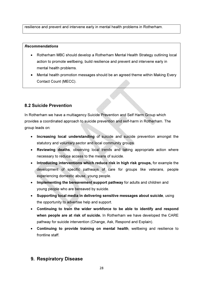resilience and prevent and intervene early in mental health problems in Rotherham.

#### Recommendations

- Rotherham MBC should develop a Rotherham Mental Health Strategy outlining local action to promote wellbeing, build resilience and prevent and intervene early in mental health problems.
- Mental health promotion messages should be an agreed theme within Making Every Contact Count (MECC).

## 8.2 Suicide Prevention

In Rotherham we have a multiagency Suicide Prevention and Self Harm Group which provides a coordinated approach to suicide prevention and self-harm in Rotherham. The group leads on:

- Increasing local understanding of suicide and suicide prevention amongst the statutory and voluntary sector and local community groups.
- Reviewing deaths, observing local trends and taking appropriate action where necessary to reduce access to the means of suicide.
- Introducing interventions which reduce risk in high risk groups, for example the development of specific pathways of care for groups like veterans, people experiencing domestic abuse, young people.
- Implementing the bereavement support pathway for adults and children and young people who are bereaved by suicide.
- Supporting local media in delivering sensitive messages about suicide, using the opportunity to advertise help and support.
- Continuing to train the wider workforce to be able to identify and respond when people are at risk of suicide. In Rotherham we have developed the CARE pathway for suicide intervention (Change, Ask, Respond and Explain).
- Continuing to provide training on mental health, wellbeing and resilience to frontline staff.

## 9. Respiratory Disease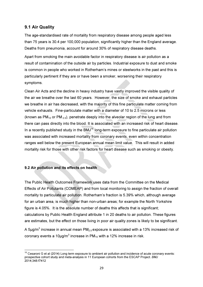## 9.1 Air Quality

The age-standardised rate of mortality from respiratory disease among people aged less than 75 years is 30.4 per 100,000 population, significantly higher than the England average. Deaths from pneumonia, account for around 30% of respiratory disease deaths.

Apart from smoking the main avoidable factor in respiratory disease is air pollution as a result of contamination of the outside air by particles. Industrial exposure to dust and smoke is common in people who worked in Rotherham's mines or steelworks in the past and this is particularly pertinent if they are or have been a smoker, worsening their respiratory symptoms.

Clean Air Acts and the decline in heavy industry have vastly improved the visible quality of the air we breathe over the last 60 years. However, the size of smoke and exhaust particles we breathe in air has decreased, with the majority of this fine particulate matter coming from vehicle exhausts. Fine-particulate matter with a diameter of 10 to 2.5 microns or less (known as  $PM_{10}$  or PM  $_{2.5}$ ), penetrate deeply into the alveolar region of the lung and from there can pass directly into the blood. It is associated with an increased risk of heart disease. In a recently published study in the BMJ<sup>16</sup> long-term exposure to fine particulate air pollution was associated with increased mortality from coronary events, even within concentration ranges well below the present European annual mean limit value. This will result in added mortality risk for those with other risk factors for heart disease such as smoking or obesity.

#### 9.2 Air pollution and its effects on health

l

The Public Health Outcomes Framework uses data from the Committee on the Medical Effects of Air Pollutants (COMEAP) and from local monitoring to assign the fraction of overall mortality to particulate air pollution. Rotherham's fraction is 5.39% which, although average for an urban area, is much higher than non-urban areas; for example the North Yorkshire figure is 4.05%. It is the absolute number of deaths this affects that is significant: calculations by Public Health England attribute 1 in 20 deaths to air pollution. These figures are estimates, but the effect on those living in poor air quality zones is likely to be significant.

A 5 $\mu$ g/m $^3$  increase in annual mean PM $_{2.5}$ exposure is associated with a 13% increased risk of coronary events a 10µg/m $^3$  increase in PM $_{10}$  with a 12% increase in risk.

 $16$  Cesaroni G et al (2014) Long term exposure to ambient air pollution and incidence of acute coronary events: prospective cohort study and meta-analysis in 11 European cohorts from the ESCAP Project. BMJ 2014;348:f7412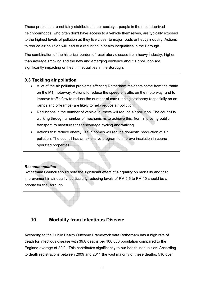These problems are not fairly distributed in our society – people in the most deprived neighbourhoods, who often don't have access to a vehicle themselves, are typically exposed to the highest levels of pollution as they live closer to major roads or heavy industry. Actions to reduce air pollution will lead to a reduction in health inequalities in the Borough.

The combination of the historical burden of respiratory disease from heavy industry, higher than average smoking and the new and emerging evidence about air pollution are significantly impacting on health inequalities in the Borough.

## 9.3 Tackling air pollution

- A lot of the air pollution problems affecting Rotherham residents come from the traffic on the M1 motorway. Actions to reduce the speed of traffic on the motorway, and to improve traffic flow to reduce the number of cars running stationary (especially on onramps and off-ramps) are likely to help reduce air pollution.
- Reductions in the number of vehicle journeys will reduce air pollution. The council is working through a number of mechanisms to achieve this, from improving public transport, to measures that encourage cycling and walking.
- Actions that reduce energy use in homes will reduce domestic production of air pollution. The council has an extensive program to improve insulation in council operated properties.

## Recommendation

Rotherham Council should note the significant effect of air quality on mortality and that improvement in air quality, particularly reducing levels of PM 2.5 to PM 10 should be a priority for the Borough.

## 10. Mortality from Infectious Disease

According to the Public Health Outcome Framework data Rotherham has a high rate of death for infectious disease with 39.8 deaths per 100,000 population compared to the England average of 22.9. This contributes significantly to our health inequalities. According to death registrations between 2009 and 2011 the vast majority of these deaths, 516 over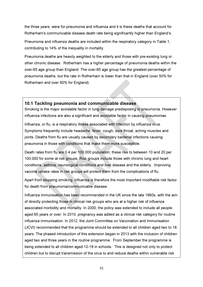the three years, were for pneumonia and influenza and it is these deaths that account for Rotherham's communicable disease death rate being significantly higher than England's.

Pneumonia and influenza deaths are included within the respiratory category in Table 1, contributing to 14% of the inequality in mortality.

Pneumonia deaths are heavily weighted to the elderly and those with pre-existing lung or other chronic disease. Rotherham has a higher percentage of pneumonia deaths within the over-65 age group than England. The over-85 age group has the greatest percentage of pneumonia deaths, but the rate in Rotherham is lower than that in England (over 50% for Rotherham and over 60% for England).

## 10.1 Tackling pneumonia and communicable disease

Smoking is the major avoidable factor in lung damage predisposing to pneumonia. However influenza infections are also a significant and avoidable factor in causing pneumonias.

Influenza, or flu, is a respiratory illness associated with infection by influenza virus. Symptoms frequently include headache, fever, cough, sore throat, aching muscles and joints. Deaths from flu are usually caused by secondary bacterial infections causing pneumonia in those with conditions that make them more susceptible.

Death rates from flu are 0.4 per 100,000 population; these rise to between 10 and 20 per 100,000 for some at risk groups. Risk groups include those with chronic lung and heart conditions, asthma, neurological conditions and liver disease and the elderly. Improving vaccine uptake rates in risk groups will protect them from the complications of flu.

Apart from stopping smoking, influenza is therefore the most important modifiable risk factor for death from pneumonia/communicable disease.

Influenza immunisation has been recommended in the UK since the late 1960s, with the aim of directly protecting those in clinical risk groups who are at a higher risk of influenza associated morbidity and mortality. In 2000, the policy was extended to include all people aged 65 years or over. In 2010, pregnancy was added as a clinical risk category for routine influenza immunisation. In 2012, the Joint Committee on Vaccination and Immunisation (JCVI) recommended that the programme should be extended to all children aged two to 18 years. The phased introduction of this extension began in 2013 with the inclusion of children aged two and three years in the routine programme. From September the programme is being extended to all children aged 12-18 in schools. This is designed not only to protect children but to disrupt transmission of the virus to and reduce deaths within vulnerable risk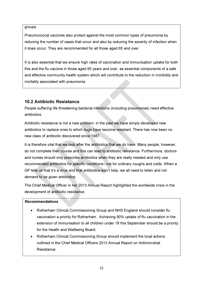groups.

Pneumococcal vaccines also protect against the most common types of pneumonia by reducing the number of cases that occur and also by reducing the severity of infection when it does occur. They are recommended for all those aged 65 and over.

It is also essential that we ensure high rates of vaccination and immunisation uptake for both this and the flu vaccine in those aged 65 years and over, as essential components of a safe and effective community health system which will contribute to the reduction in morbidity and mortality associated with pneumonia.

## 10.2 Antibiotic Resistance

People suffering life threatening bacterial infections (including pneumonias) need effective antibiotics.

Antibiotic resistance is not a new problem; in the past we have simply developed new antibiotics to replace ones to which bugs have become resistant. There has now been no new class of antibiotic discovered since 1987.

It is therefore vital that we look after the antibiotics that we do have. Many people, however, do not complete their course and this can lead to antibiotic resistance. Furthermore, doctors and nurses should only prescribe antibiotics when they are really needed and only use recommended antibiotics for specific conditions– not for ordinary coughs and colds. When a GP tells us that it's a virus and that antibiotics won't help, we all need to listen and not demand to be given antibiotics.

The Chief Medical Officer in her 2013 Annual Report highlighted the worldwide crisis in the development of antibiotic resistance.

#### Recommendations

- Rotherham Clinical Commissioning Group and NHS England should consider flu vaccination a priority for Rotherham. Achieving 90% uptake of flu vaccination in the extension of immunisation to all children under 18 this September should be a priority for the Health and Wellbeing Board.
- Rotherham Clinical Commissioning Group should implement the local actions outlined in the Chief Medical Officers 2013 Annual Report on Antimicrobial Resistance.